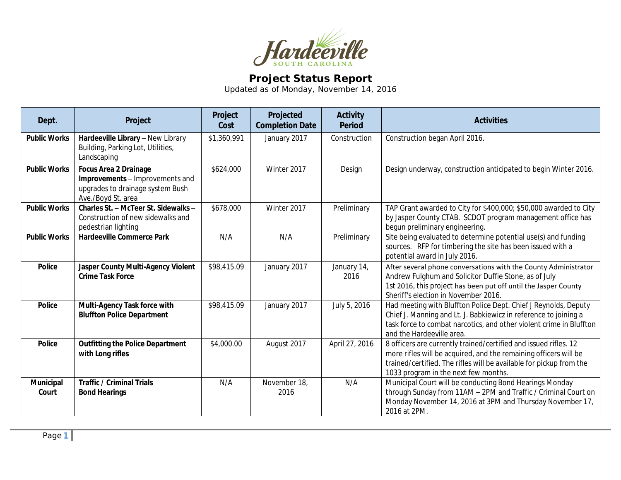

## **Project Status Report**

Updated as of Monday, November 14, 2016

| Dept.               | Project                                                                                                                   | Project<br>Cost | Projected<br><b>Completion Date</b> | <b>Activity</b><br><b>Period</b> | <b>Activities</b>                                                                                                                                                                                                                                   |
|---------------------|---------------------------------------------------------------------------------------------------------------------------|-----------------|-------------------------------------|----------------------------------|-----------------------------------------------------------------------------------------------------------------------------------------------------------------------------------------------------------------------------------------------------|
| <b>Public Works</b> | Hardeeville Library - New Library<br>Building, Parking Lot, Utilities,<br>Landscaping                                     | \$1,360,991     | January 2017                        | Construction                     | Construction began April 2016.                                                                                                                                                                                                                      |
| <b>Public Works</b> | <b>Focus Area 2 Drainage</b><br>Improvements - Improvements and<br>upgrades to drainage system Bush<br>Ave./Boyd St. area | \$624,000       | Winter 2017                         | Design                           | Design underway, construction anticipated to begin Winter 2016.                                                                                                                                                                                     |
| <b>Public Works</b> | Charles St. - McTeer St. Sidewalks -<br>Construction of new sidewalks and<br>pedestrian lighting                          | \$678,000       | Winter 2017                         | Preliminary                      | TAP Grant awarded to City for \$400,000; \$50,000 awarded to City<br>by Jasper County CTAB. SCDOT program management office has<br>begun preliminary engineering.                                                                                   |
| <b>Public Works</b> | <b>Hardeeville Commerce Park</b>                                                                                          | N/A             | N/A                                 | Preliminary                      | Site being evaluated to determine potential use(s) and funding<br>sources. RFP for timbering the site has been issued with a<br>potential award in July 2016.                                                                                       |
| <b>Police</b>       | Jasper County Multi-Agency Violent<br><b>Crime Task Force</b>                                                             | \$98,415.09     | January 2017                        | January 14,<br>2016              | After several phone conversations with the County Administrator<br>Andrew Fulghum and Solicitor Duffie Stone, as of July<br>1st 2016, this project has been put off until the Jasper County<br>Sheriff's election in November 2016.                 |
| <b>Police</b>       | Multi-Agency Task force with<br><b>Bluffton Police Department</b>                                                         | \$98,415.09     | January 2017                        | July 5, 2016                     | Had meeting with Bluffton Police Dept. Chief J Reynolds, Deputy<br>Chief J. Manning and Lt. J. Babkiewicz in reference to joining a<br>task force to combat narcotics, and other violent crime in Bluffton<br>and the Hardeeville area.             |
| <b>Police</b>       | <b>Outfitting the Police Department</b><br>with Long rifles                                                               | \$4,000.00      | August 2017                         | April 27, 2016                   | 8 officers are currently trained/certified and issued rifles. 12<br>more rifles will be acquired, and the remaining officers will be<br>trained/certified. The rifles will be available for pickup from the<br>1033 program in the next few months. |
| Municipal<br>Court  | <b>Traffic / Criminal Trials</b><br><b>Bond Hearings</b>                                                                  | N/A             | November 18,<br>2016                | N/A                              | Municipal Court will be conducting Bond Hearings Monday<br>through Sunday from 11AM - 2PM and Traffic / Criminal Court on<br>Monday November 14, 2016 at 3PM and Thursday November 17,<br>2016 at 2PM.                                              |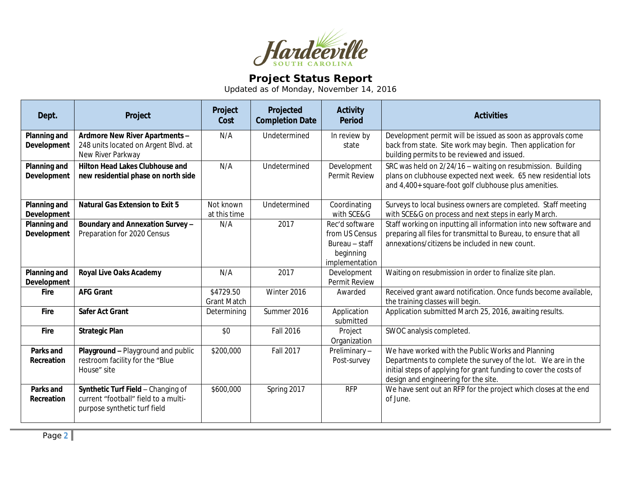

## **Project Status Report**

Updated as of Monday, November 14, 2016

| Dept.                              | Project                                                                                                    | Project<br>Cost                 | Projected<br><b>Completion Date</b> | <b>Activity</b><br><b>Period</b>                                                  | <b>Activities</b>                                                                                                                                                                                                              |
|------------------------------------|------------------------------------------------------------------------------------------------------------|---------------------------------|-------------------------------------|-----------------------------------------------------------------------------------|--------------------------------------------------------------------------------------------------------------------------------------------------------------------------------------------------------------------------------|
| <b>Planning and</b><br>Development | Ardmore New River Apartments -<br>248 units located on Argent Blvd. at<br>New River Parkway                | N/A                             | Undetermined                        | In review by<br>state                                                             | Development permit will be issued as soon as approvals come<br>back from state. Site work may begin. Then application for<br>building permits to be reviewed and issued.                                                       |
| Planning and<br>Development        | <b>Hilton Head Lakes Clubhouse and</b><br>new residential phase on north side                              | N/A                             | Undetermined                        | Development<br>Permit Review                                                      | SRC was held on 2/24/16 - waiting on resubmission. Building<br>plans on clubhouse expected next week. 65 new residential lots<br>and 4,400+ square-foot golf clubhouse plus amenities.                                         |
| Planning and<br><b>Development</b> | <b>Natural Gas Extension to Exit 5</b>                                                                     | Not known<br>at this time       | Undetermined                        | Coordinating<br>with SCE&G                                                        | Surveys to local business owners are completed. Staff meeting<br>with SCE&G on process and next steps in early March.                                                                                                          |
| Planning and<br><b>Development</b> | Boundary and Annexation Survey -<br>Preparation for 2020 Census                                            | N/A                             | 2017                                | Rec'd software<br>from US Census<br>Bureau - staff<br>beginning<br>implementation | Staff working on inputting all information into new software and<br>preparing all files for transmittal to Bureau, to ensure that all<br>annexations/citizens be included in new count.                                        |
| Planning and<br><b>Development</b> | <b>Royal Live Oaks Academy</b>                                                                             | N/A                             | 2017                                | Development<br>Permit Review                                                      | Waiting on resubmission in order to finalize site plan.                                                                                                                                                                        |
| <b>Fire</b>                        | <b>AFG Grant</b>                                                                                           | \$4729.50<br><b>Grant Match</b> | Winter 2016                         | Awarded                                                                           | Received grant award notification. Once funds become available,<br>the training classes will begin.                                                                                                                            |
| Fire                               | <b>Safer Act Grant</b>                                                                                     | Determining                     | Summer 2016                         | Application<br>submitted                                                          | Application submitted March 25, 2016, awaiting results.                                                                                                                                                                        |
| Fire                               | <b>Strategic Plan</b>                                                                                      | \$0                             | <b>Fall 2016</b>                    | Project<br>Organization                                                           | SWOC analysis completed.                                                                                                                                                                                                       |
| Parks and<br>Recreation            | Playground - Playground and public<br>restroom facility for the "Blue<br>House" site                       | \$200,000                       | Fall 2017                           | Preliminary-<br>Post-survey                                                       | We have worked with the Public Works and Planning<br>Departments to complete the survey of the lot. We are in the<br>initial steps of applying for grant funding to cover the costs of<br>design and engineering for the site. |
| <b>Parks and</b><br>Recreation     | Synthetic Turf Field - Changing of<br>current "football" field to a multi-<br>purpose synthetic turf field | \$600,000                       | Spring 2017                         | <b>RFP</b>                                                                        | We have sent out an RFP for the project which closes at the end<br>of June.                                                                                                                                                    |